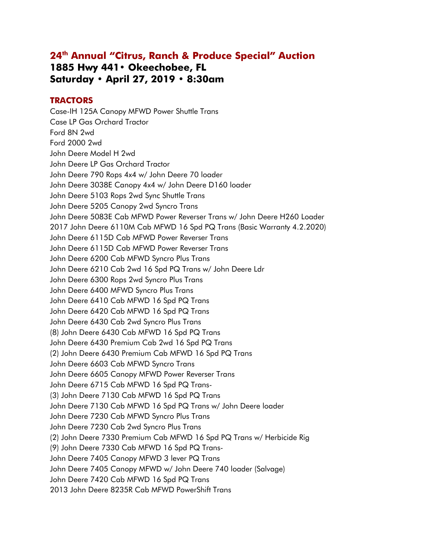# **24th Annual "Citrus, Ranch & Produce Special" Auction 1885 Hwy 441• Okeechobee, FL Saturday • April 27, 2019 • 8:30am**

# **TRACTORS**

Case-IH 125A Canopy MFWD Power Shuttle Trans Case LP Gas Orchard Tractor Ford 8N 2wd Ford 2000 2wd John Deere Model H 2wd John Deere LP Gas Orchard Tractor John Deere 790 Rops 4x4 w/ John Deere 70 loader John Deere 3038E Canopy 4x4 w/ John Deere D160 loader John Deere 5103 Rops 2wd Sync Shuttle Trans John Deere 5205 Canopy 2wd Syncro Trans John Deere 5083E Cab MFWD Power Reverser Trans w/ John Deere H260 Loader 2017 John Deere 6110M Cab MFWD 16 Spd PQ Trans (Basic Warranty 4.2.2020) John Deere 6115D Cab MFWD Power Reverser Trans John Deere 6115D Cab MFWD Power Reverser Trans John Deere 6200 Cab MFWD Syncro Plus Trans John Deere 6210 Cab 2wd 16 Spd PQ Trans w/ John Deere Ldr John Deere 6300 Rops 2wd Syncro Plus Trans John Deere 6400 MFWD Syncro Plus Trans John Deere 6410 Cab MFWD 16 Spd PQ Trans John Deere 6420 Cab MFWD 16 Spd PQ Trans John Deere 6430 Cab 2wd Syncro Plus Trans (8) John Deere 6430 Cab MFWD 16 Spd PQ Trans John Deere 6430 Premium Cab 2wd 16 Spd PQ Trans (2) John Deere 6430 Premium Cab MFWD 16 Spd PQ Trans John Deere 6603 Cab MFWD Syncro Trans John Deere 6605 Canopy MFWD Power Reverser Trans John Deere 6715 Cab MFWD 16 Spd PQ Trans (3) John Deere 7130 Cab MFWD 16 Spd PQ Trans John Deere 7130 Cab MFWD 16 Spd PQ Trans w/ John Deere loader John Deere 7230 Cab MFWD Syncro Plus Trans John Deere 7230 Cab 2wd Syncro Plus Trans (2) John Deere 7330 Premium Cab MFWD 16 Spd PQ Trans w/ Herbicide Rig (9) John Deere 7330 Cab MFWD 16 Spd PQ Trans-John Deere 7405 Canopy MFWD 3 lever PQ Trans John Deere 7405 Canopy MFWD w/ John Deere 740 loader (Salvage) John Deere 7420 Cab MFWD 16 Spd PQ Trans 2013 John Deere 8235R Cab MFWD PowerShift Trans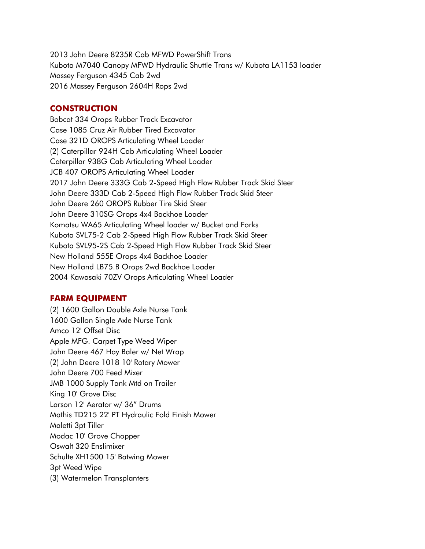2013 John Deere 8235R Cab MFWD PowerShift Trans Kubota M7040 Canopy MFWD Hydraulic Shuttle Trans w/ Kubota LA1153 loader Massey Ferguson 4345 Cab 2wd 2016 Massey Ferguson 2604H Rops 2wd

## **CONSTRUCTION**

Bobcat 334 Orops Rubber Track Excavator Case 1085 Cruz Air Rubber Tired Excavator Case 321D OROPS Articulating Wheel Loader (2) Caterpillar 924H Cab Articulating Wheel Loader Caterpillar 938G Cab Articulating Wheel Loader JCB 407 OROPS Articulating Wheel Loader 2017 John Deere 333G Cab 2-Speed High Flow Rubber Track Skid Steer John Deere 333D Cab 2-Speed High Flow Rubber Track Skid Steer John Deere 260 OROPS Rubber Tire Skid Steer John Deere 310SG Orops 4x4 Backhoe Loader Komatsu WA65 Articulating Wheel loader w/ Bucket and Forks Kubota SVL75-2 Cab 2-Speed High Flow Rubber Track Skid Steer Kubota SVL95-2S Cab 2-Speed High Flow Rubber Track Skid Steer New Holland 555E Orops 4x4 Backhoe Loader New Holland LB75.B Orops 2wd Backhoe Loader 2004 Kawasaki 70ZV Orops Articulating Wheel Loader

### **FARM EQUIPMENT**

(2) 1600 Gallon Double Axle Nurse Tank 1600 Gallon Single Axle Nurse Tank Amco 12' Offset Disc Apple MFG. Carpet Type Weed Wiper John Deere 467 Hay Baler w/ Net Wrap (2) John Deere 1018 10' Rotary Mower John Deere 700 Feed Mixer JMB 1000 Supply Tank Mtd on Trailer King 10' Grove Disc Larson 12' Aerator w/ 36" Drums Mathis TD215 22' PT Hydraulic Fold Finish Mower Maletti 3pt Tiller Modac 10' Grove Chopper Oswalt 320 Enslimixer Schulte XH1500 15' Batwing Mower 3pt Weed Wipe (3) Watermelon Transplanters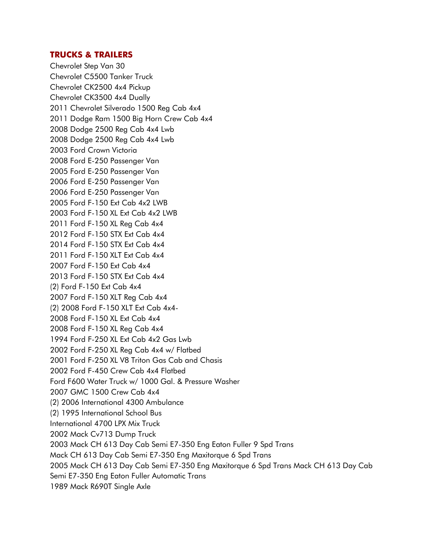## **TRUCKS & TRAILERS**

Chevrolet Step Van 30 Chevrolet C5500 Tanker Truck Chevrolet CK2500 4x4 Pickup Chevrolet CK3500 4x4 Dually 2011 Chevrolet Silverado 1500 Reg Cab 4x4 2011 Dodge Ram 1500 Big Horn Crew Cab 4x4 2008 Dodge 2500 Reg Cab 4x4 Lwb 2008 Dodge 2500 Reg Cab 4x4 Lwb 2003 Ford Crown Victoria 2008 Ford E-250 Passenger Van 2005 Ford E-250 Passenger Van 2006 Ford E-250 Passenger Van 2006 Ford E-250 Passenger Van 2005 Ford F-150 Ext Cab 4x2 LWB 2003 Ford F-150 XL Ext Cab 4x2 LWB 2011 Ford F-150 XL Reg Cab 4x4 2012 Ford F-150 STX Ext Cab 4x4 2014 Ford F-150 STX Ext Cab 4x4 2011 Ford F-150 XLT Ext Cab 4x4 2007 Ford F-150 Ext Cab 4x4 2013 Ford F-150 STX Ext Cab 4x4 (2) Ford F-150 Ext Cab 4x4 2007 Ford F-150 XLT Reg Cab 4x4 (2) 2008 Ford F-150 XLT Ext Cab 4x4 2008 Ford F-150 XL Ext Cab 4x4 2008 Ford F-150 XL Reg Cab 4x4 1994 Ford F-250 XL Ext Cab 4x2 Gas Lwb 2002 Ford F-250 XL Reg Cab 4x4 w/ Flatbed 2001 Ford F-250 XL V8 Triton Gas Cab and Chasis 2002 Ford F-450 Crew Cab 4x4 Flatbed Ford F600 Water Truck w/ 1000 Gal. & Pressure Washer 2007 GMC 1500 Crew Cab 4x4 (2) 2006 International 4300 Ambulance (2) 1995 International School Bus International 4700 LPX Mix Truck 2002 Mack Cv713 Dump Truck 2003 Mack CH 613 Day Cab Semi E7-350 Eng Eaton Fuller 9 Spd Trans Mack CH 613 Day Cab Semi E7-350 Eng Maxitorque 6 Spd Trans 2005 Mack CH 613 Day Cab Semi E7-350 Eng Maxitorque 6 Spd Trans Mack CH 613 Day Cab Semi E7-350 Eng Eaton Fuller Automatic Trans 1989 Mack R690T Single Axle